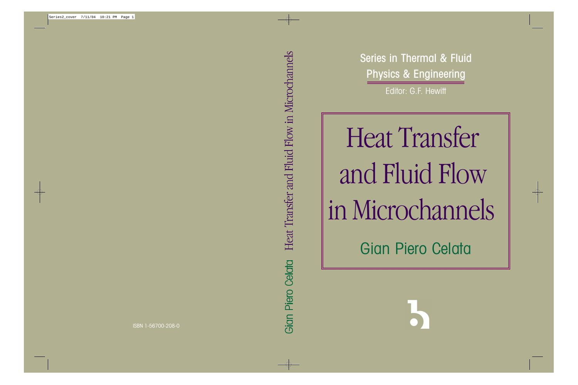Series in Thermal & Fluid Physics & Engineering Editor: G.F. Hewitt

Heat Transfer and Fluid Flow in Microchannels **Gian Piero Celata** 

# Heat Transfer and Fluid Flow in Microchannels Gian Piero Celata

 $\overline{\bigoplus}$ 

ISBN 1-56700-208-0

 $\Rightarrow$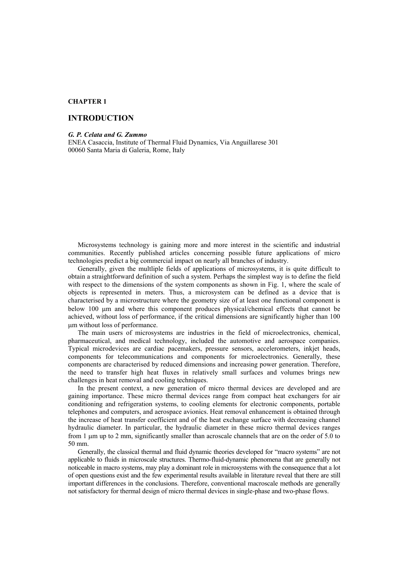# **CHAPTER 1**

# **INTRODUCTION**

#### *G. P. Celata and G. Zummo*

ENEA Casaccia, Institute of Thermal Fluid Dynamics, Via Anguillarese 301 00060 Santa Maria di Galeria, Rome, Italy

Microsystems technology is gaining more and more interest in the scientific and industrial communities. Recently published articles concerning possible future applications of micro technologies predict a big commercial impact on nearly all branches of industry.

Generally, given the multliple fields of applications of microsystems, it is quite difficult to obtain a straightforward definition of such a system. Perhaps the simplest way is to define the field with respect to the dimensions of the system components as shown in Fig. 1, where the scale of objects is represented in meters. Thus, a microsystem can be defined as a device that is characterised by a microstructure where the geometry size of at least one functional component is below 100 µm and where this component produces physical/chemical effects that cannot be achieved, without loss of performance, if the critical dimensions are significantly higher than 100 µm without loss of performance.

The main users of microsystems are industries in the field of microelectronics, chemical, pharmaceutical, and medical technology, included the automotive and aerospace companies. Typical microdevices are cardiac pacemakers, pressure sensors, accelerometers, inkjet heads, components for telecommunications and components for microelectronics. Generally, these components are characterised by reduced dimensions and increasing power generation. Therefore, the need to transfer high heat fluxes in relatively small surfaces and volumes brings new challenges in heat removal and cooling techniques.

In the present context, a new generation of micro thermal devices are developed and are gaining importance. These micro thermal devices range from compact heat exchangers for air conditioning and refrigeration systems, to cooling elements for electronic components, portable telephones and computers, and aerospace avionics. Heat removal enhancement is obtained through the increase of heat transfer coefficient and of the heat exchange surface with decreasing channel hydraulic diameter. In particular, the hydraulic diameter in these micro thermal devices ranges from 1 µm up to 2 mm, significantly smaller than acroscale channels that are on the order of 5.0 to 50 mm.

Generally, the classical thermal and fluid dynamic theories developed for "macro systems" are not applicable to fluids in microscale structures. Thermo-fluid-dynamic phenomena that are generally not noticeable in macro systems, may play a dominant role in microsystems with the consequence that a lot of open questions exist and the few experimental results available in literature reveal that there are still important differences in the conclusions. Therefore, conventional macroscale methods are generally not satisfactory for thermal design of micro thermal devices in single-phase and two-phase flows.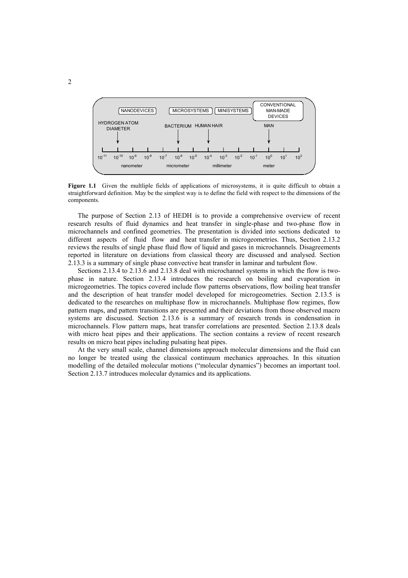

**Figure 1.1** Given the multliple fields of applications of microsystems, it is quite difficult to obtain a straightforward definition. May be the simplest way is to define the field with respect to the dimensions of the components.

The purpose of Section 2.13 of HEDH is to provide a comprehensive overview of recent research results of fluid dynamics and heat transfer in single-phase and two-phase flow in microchannels and confined geometries. The presentation is divided into sections dedicated to different aspects of fluid flow and heat transfer in microgeometries. Thus, Section 2.13.2 reviews the results of single phase fluid flow of liquid and gases in microchannels. Disagreements reported in literature on deviations from classical theory are discussed and analysed. Section 2.13.3 is a summary of single phase convective heat transfer in laminar and turbulent flow.

Sections 2.13.4 to 2.13.6 and 2.13.8 deal with microchannel systems in which the flow is twophase in nature. Section 2.13.4 introduces the research on boiling and evaporation in microgeometries. The topics covered include flow patterns observations, flow boiling heat transfer and the description of heat transfer model developed for microgeometries. Section 2.13.5 is dedicated to the researches on multiphase flow in microchannels. Multiphase flow regimes, flow pattern maps, and pattern transitions are presented and their deviations from those observed macro systems are discussed. Section 2.13.6 is a summary of research trends in condensation in microchannels. Flow pattern maps, heat transfer correlations are presented. Section 2.13.8 deals with micro heat pipes and their applications. The section contains a review of recent research results on micro heat pipes including pulsating heat pipes.

At the very small scale, channel dimensions approach molecular dimensions and the fluid can no longer be treated using the classical continuum mechanics approaches. In this situation modelling of the detailed molecular motions ("molecular dynamics") becomes an important tool. Section 2.13.7 introduces molecular dynamics and its applications.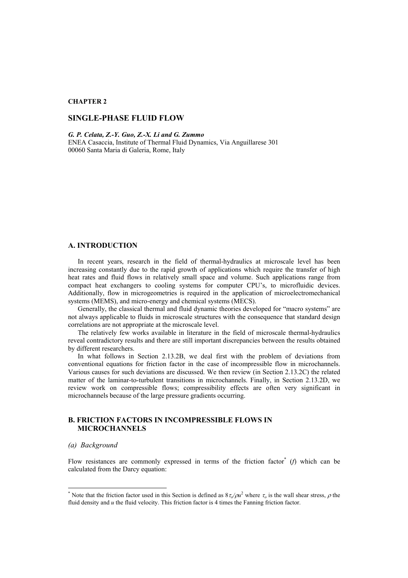# **CHAPTER 2**

# **SINGLE-PHASE FLUID FLOW**

*G. P. Celata, Z.-Y. Guo, Z.-X. Li and G. Zummo* 

ENEA Casaccia, Institute of Thermal Fluid Dynamics, Via Anguillarese 301 00060 Santa Maria di Galeria, Rome, Italy

# **A. INTRODUCTION**

In recent years, research in the field of thermal-hydraulics at microscale level has been increasing constantly due to the rapid growth of applications which require the transfer of high heat rates and fluid flows in relatively small space and volume. Such applications range from compact heat exchangers to cooling systems for computer CPU's, to microfluidic devices. Additionally, flow in microgeometries is required in the application of microelectromechanical systems (MEMS), and micro-energy and chemical systems (MECS).

Generally, the classical thermal and fluid dynamic theories developed for "macro systems" are not always applicable to fluids in microscale structures with the consequence that standard design correlations are not appropriate at the microscale level.

The relatively few works available in literature in the field of microscale thermal-hydraulics reveal contradictory results and there are still important discrepancies between the results obtained by different researchers.

In what follows in Section 2.13.2B, we deal first with the problem of deviations from conventional equations for friction factor in the case of incompressible flow in microchannels. Various causes for such deviations are discussed. We then review (in Section 2.13.2C) the related matter of the laminar-to-turbulent transitions in microchannels. Finally, in Section 2.13.2D, we review work on compressible flows; compressibility effects are often very significant in microchannels because of the large pressure gradients occurring.

# **B. FRICTION FACTORS IN INCOMPRESSIBLE FLOWS IN MICROCHANNELS**

#### *(a) Background*

l

Flow resistances are commonly expressed in terms of the friction factor<sup>[\\*](#page-3-0)</sup>  $(f)$  which can be calculated from the Darcy equation:

<span id="page-3-0"></span><sup>\*</sup> Note that the friction factor used in this Section is defined as  $8\tau_0/\rho u^2$  where  $\tau_0$  is the wall shear stress,  $\rho$  the fluid density and *u* the fluid velocity. This friction factor is 4 times the Fanning friction factor.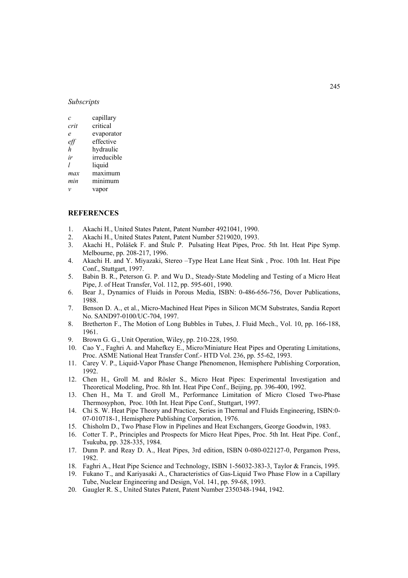### *Subscripts*

| C    | capillary   |
|------|-------------|
| crit | critical    |
| e    | evaporator  |
| ett  | effective   |
| h    | hydraulic   |
| ir   | irreducible |
| 1    | liquid      |
| max  | maximum     |
| min  | minimum     |
| ν    | vapor       |

#### **REFERENCES**

- 1. Akachi H., United States Patent, Patent Number 4921041, 1990.
- 2. Akachi H., United States Patent, Patent Number 5219020, 1993.
- 3. Akachi H., Polášek F. and Štulc P. Pulsating Heat Pipes, Proc. 5th Int. Heat Pipe Symp. Melbourne, pp. 208-217, 1996.
- 4. Akachi H. and Y. Miyazaki, Stereo –Type Heat Lane Heat Sink , Proc. 10th Int. Heat Pipe Conf., Stuttgart, 1997.
- 5. Babin B. R., Peterson G. P. and Wu D., Steady-State Modeling and Testing of a Micro Heat Pipe, J. of Heat Transfer, Vol. 112, pp. 595-601, 1990.
- 6. Bear J., Dynamics of Fluids in Porous Media, ISBN: 0-486-656-756, Dover Publications, 1988.
- 7. Benson D. A., et al., Micro-Machined Heat Pipes in Silicon MCM Substrates, Sandia Report No. SAND97-0100/UC-704, 1997.
- 8. Bretherton F., The Motion of Long Bubbles in Tubes, J. Fluid Mech., Vol. 10, pp. 166-188, 1961.
- 9. Brown G. G., Unit Operation, Wiley, pp. 210-228, 1950.
- 10. Cao Y., Faghri A. and Mahefkey E., Micro/Miniature Heat Pipes and Operating Limitations, Proc. ASME National Heat Transfer Conf.- HTD Vol. 236, pp. 55-62, 1993.
- 11. Carey V. P., Liquid-Vapor Phase Change Phenomenon, Hemisphere Publishing Corporation, 1992.
- 12. Chen H., Groll M. and Rösler S., Micro Heat Pipes: Experimental Investigation and Theoretical Modeling, Proc. 8th Int. Heat Pipe Conf., Beijing, pp. 396-400, 1992.
- 13. Chen H., Ma T. and Groll M., Performance Limitation of Micro Closed Two-Phase Thermosyphon, Proc. 10th Int. Heat Pipe Conf., Stuttgart, 1997.
- 14. Chi S. W. Heat Pipe Theory and Practice, Series in Thermal and Fluids Engineering, ISBN:0- 07-010718-1, Hemisphere Publishing Corporation, 1976.
- 15. Chisholm D., Two Phase Flow in Pipelines and Heat Exchangers, George Goodwin, 1983.
- 16. Cotter T. P., Principles and Prospects for Micro Heat Pipes, Proc. 5th Int. Heat Pipe. Conf., Tsukuba, pp. 328-335, 1984.
- 17. Dunn P. and Reay D. A., Heat Pipes, 3rd edition, ISBN 0-080-022127-0, Pergamon Press, 1982.
- 18. Faghri A., Heat Pipe Science and Technology, ISBN 1-56032-383-3, Taylor & Francis, 1995.
- 19. Fukano T., and Kariyasaki A., Characteristics of Gas-Liquid Two Phase Flow in a Capillary Tube, Nuclear Engineering and Design, Vol. 141, pp. 59-68, 1993.
- 20. Gaugler R. S., United States Patent, Patent Number 2350348-1944, 1942.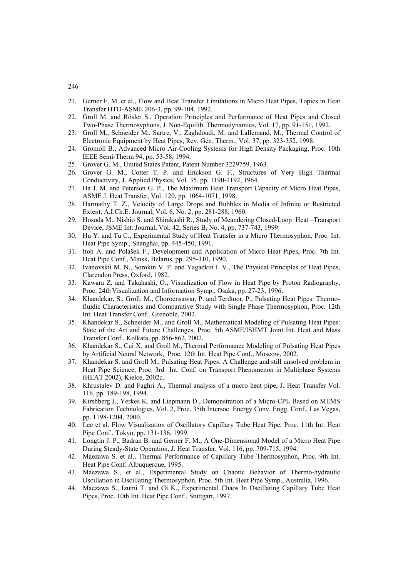- 21. Gerner F. M. et al., Flow and Heat Transfer Limitations in Micro Heat Pipes, Topics in Heat Transfer HTD-ASME 206-3, pp. 99-104, 1992.
- 22. Groll M. and Rösler S., Operation Principles and Performance of Heat Pipes and Closed Two-Phase Thermosyphons, J. Non-Equilib. Thermodynamics, Vol. 17, pp. 91-151, 1992.
- 23. Groll M., Schneider M., Sartre, V., Zaghdoudi, M. and Lallemand, M., Thermal Control of Electronic Equipment by Heat Pipes, Rev. Gén. Therm., Vol. 37, pp. 323-352, 1998.
- 24. Gromoll B., Advanced Micro Air-Cooling Systems for High Density Packaging, Proc. 10th IEEE Semi-Therm 94, pp. 53-58, 1994.
- 25. Grover G. M., United States Patent, Patent Number 3229759, 1963.
- 26. Grover G. M., Cotter T. P. and Erickson G. F., Structures of Very High Thermal Conductivity, J. Applied Physics, Vol. 35, pp. 1190-1192, 1964.
- 27. Ha J. M. and Peterson G. P., The Maximum Heat Transport Capacity of Micro Heat Pipes, ASME J. Heat Transfer, Vol. 120, pp. 1064-1071, 1998.
- 28. Harmathy T. Z., Velocity of Large Drops and Bubbles in Media of Infinite or Restricted Extent, A.I.Ch.E. Journal, Vol. 6, No. 2, pp. 281-288, 1960.
- 29. Hosoda M., Nishio S. and Shirakashi R., Study of Meandering Closed-Loop Heat –Transport Device, JSME Int. Journal, Vol. 42, Series B, No. 4, pp. 737-743, 1999.
- 30. Hu Y. and Tu C., Experimental Study of Heat Transfer in a Micro Thermosyphon, Proc. Int. Heat Pipe Symp., Shanghai, pp. 445-450, 1991.
- 31. Itoh A. and Polášek F., Development and Application of Micro Heat Pipes, Proc. 7th Int. Heat Pipe Conf., Minsk, Belarus, pp. 295-310, 1990.
- 32. Ivanovskii M. N., Sorokin V. P. and Yagadkin I. V., The Physical Principles of Heat Pipes, Clarendon Press, Oxford, 1982.
- 33. Kawara Z. and Takahashi, O., Visualization of Flow in Heat Pipe by Proton Radiography, Proc. 24th Visualization and Information Symp., Osaka, pp. 27-23, 1996.
- 34. Khandekar, S., Groll, M., Choroensawar, P. and Terdtoor, P., Pulsating Heat Pipes: Thermofluidic Characteristics and Comparative Study with Single Phase Thermosyphon, Proc. 12th Int. Heat Transfer Conf., Grenoble, 2002.
- 35. Khandekar S., Schneider M., and Groll M., Mathematical Modeling of Pulsating Heat Pipes: State of the Art and Future Challenges, Proc. 5th ASME/ISHMT Joint Int. Heat and Mass Transfer Conf., Kolkata, pp. 856-862, 2002.
- 36. Khandekar S., Cui X. and Groll M., Thermal Performance Modeling of Pulsating Heat Pipes by Artificial Neural Network, Proc. 12th Int. Heat Pipe Conf., Moscow, 2002.
- 37. Khandekar S. and Groll M., Pulsating Heat Pipes: A Challenge and still unsolved problem in Heat Pipe Science, Proc. 3rd Int. Conf. on Transport Phenomenon in Multiphase Systems (HEAT 2002), Kielce, 2002c.
- 38. Khrustalev D. and Faghri A., Thermal analysis of a micro heat pipe, J. Heat Transfer Vol. 116, pp. 189-198, 1994.
- 39. Kirshberg J., Yerkes K. and Liepmann D., Demonstration of a Micro-CPL Based on MEMS Fabrication Technologies, Vol. 2, Proc. 35th Intersoc. Energy Conv. Engg. Conf., Las Vegas, pp. 1198-1204, 2000.
- 40. Lee et al. Flow Visualization of Oscillatory Capillary Tube Heat Pipe, Proc. 11th Int. Heat Pipe Conf., Tokyo, pp. 131-136, 1999.
- 41. Longtin J. P., Badran B. and Gerner F. M., A One-Dimensional Model of a Micro Heat Pipe During Steady-State Operation, J. Heat Transfer, Vol. 116, pp. 709-715, 1994.
- 42. Maezawa S. et al., Thermal Performance of Capillary Tube Thermosyphon, Proc. 9th Int. Heat Pipe Conf. Albuquerque, 1995.
- 43. Maezawa S., et al., Experimental Study on Chaotic Behavior of Thermo-hydraulic Oscillation in Oscillating Thermosyphon, Proc. 5th Int. Heat Pipe Symp., Australia, 1996.
- 44. Maezawa S., Izumi T. and Gi K., Experimental Chaos In Oscillating Capillary Tube Heat Pipes, Proc. 10th Int. Heat Pipe Conf., Stuttgart, 1997.

246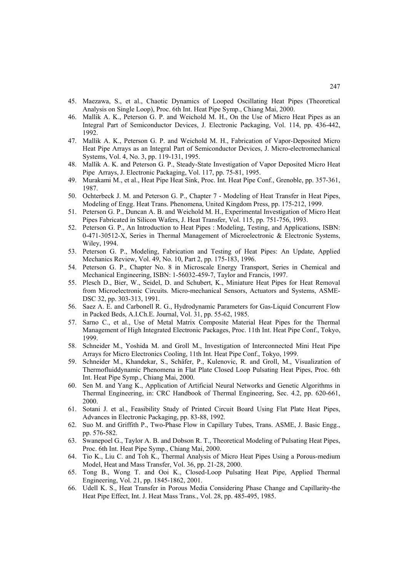- 45. Maezawa, S., et al., Chaotic Dynamics of Looped Oscillating Heat Pipes (Theoretical Analysis on Single Loop), Proc. 6th Int. Heat Pipe Symp., Chiang Mai, 2000.
- 46. Mallik A. K., Peterson G. P. and Weichold M. H., On the Use of Micro Heat Pipes as an Integral Part of Semiconductor Devices, J. Electronic Packaging, Vol. 114, pp. 436-442, 1992.
- 47. Mallik A. K., Peterson G. P. and Weichold M. H., Fabrication of Vapor-Deposited Micro Heat Pipe Arrays as an Integral Part of Semiconductor Devices, J. Micro-electromechanical Systems, Vol. 4, No. 3, pp. 119-131, 1995.
- 48. Mallik A. K. and Peterson G. P., Steady-State Investigation of Vapor Deposited Micro Heat Pipe Arrays, J. Electronic Packaging, Vol. 117, pp. 75-81, 1995.
- 49. Murakami M., et al., Heat Pipe Heat Sink, Proc. Int. Heat Pipe Conf., Grenoble, pp. 357-361, 1987.
- 50. Ochterbeck J. M. and Peterson G. P., Chapter 7 Modeling of Heat Transfer in Heat Pipes, Modeling of Engg. Heat Trans. Phenomena, United Kingdom Press, pp. 175-212, 1999.
- 51. Peterson G. P., Duncan A. B. and Weichold M. H., Experimental Investigation of Micro Heat Pipes Fabricated in Silicon Wafers, J. Heat Transfer, Vol. 115, pp. 751-756, 1993.
- 52. Peterson G. P., An Introduction to Heat Pipes : Modeling, Testing, and Applications, ISBN: 0-471-30512-X, Series in Thermal Management of Microelectronic & Electronic Systems, Wiley, 1994.
- 53. Peterson G. P., Modeling, Fabrication and Testing of Heat Pipes: An Update, Applied Mechanics Review, Vol. 49, No. 10, Part 2, pp. 175-183, 1996.
- 54. Peterson G. P., Chapter No. 8 in Microscale Energy Transport, Series in Chemical and Mechanical Engineering, ISBN: 1-56032-459-7, Taylor and Francis, 1997.
- 55. Plesch D., Bier, W., Seidel, D. and Schubert, K., Miniature Heat Pipes for Heat Removal from Microelectronic Circuits. Micro-mechanical Sensors, Actuators and Systems, ASME-DSC 32, pp. 303-313, 1991.
- 56. Saez A. E. and Carbonell R. G., Hydrodynamic Parameters for Gas-Liquid Concurrent Flow in Packed Beds, A.I.Ch.E. Journal, Vol. 31, pp. 55-62, 1985.
- 57. Sarno C., et al., Use of Metal Matrix Composite Material Heat Pipes for the Thermal Management of High Integrated Electronic Packages, Proc. 11th Int. Heat Pipe Conf., Tokyo, 1999.
- 58. Schneider M., Yoshida M. and Groll M., Investigation of Interconnected Mini Heat Pipe Arrays for Micro Electronics Cooling, 11th Int. Heat Pipe Conf., Tokyo, 1999.
- 59. Schneider M., Khandekar, S., Schäfer, P., Kulenovic, R. and Groll, M., Visualization of Thermofluiddynamic Phenomena in Flat Plate Closed Loop Pulsating Heat Pipes, Proc. 6th Int. Heat Pipe Symp., Chiang Mai, 2000.
- 60. Sen M. and Yang K., Application of Artificial Neural Networks and Genetic Algorithms in Thermal Engineering, in: CRC Handbook of Thermal Engineering, Sec. 4.2, pp. 620-661, 2000.
- 61. Sotani J. et al., Feasibility Study of Printed Circuit Board Using Flat Plate Heat Pipes, Advances in Electronic Packaging, pp. 83-88, 1992.
- 62. Suo M. and Griffith P., Two-Phase Flow in Capillary Tubes, Trans. ASME, J. Basic Engg., pp. 576-582.
- 63. Swanepoel G., Taylor A. B. and Dobson R. T., Theoretical Modeling of Pulsating Heat Pipes, Proc. 6th Int. Heat Pipe Symp., Chiang Mai, 2000.
- 64. Tio K., Liu C. and Toh K., Thermal Analysis of Micro Heat Pipes Using a Porous-medium Model, Heat and Mass Transfer, Vol. 36, pp. 21-28, 2000.
- 65. Tong B., Wong T. and Ooi K., Closed-Loop Pulsating Heat Pipe, Applied Thermal Engineering, Vol. 21, pp. 1845-1862, 2001.
- 66. Udell K. S., Heat Transfer in Porous Media Considering Phase Change and Capillarity-the Heat Pipe Effect, Int. J. Heat Mass Trans., Vol. 28, pp. 485-495, 1985.